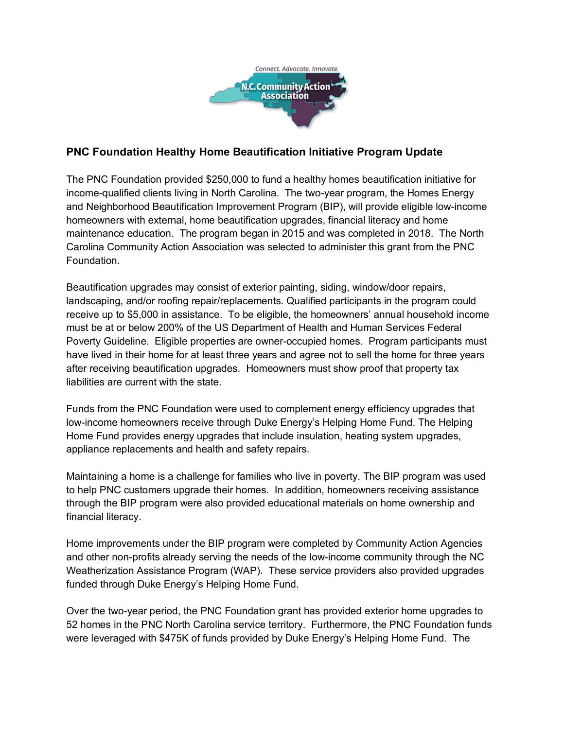

## **PNC Foundation Healthy Home Beautification Initiative Program Update**

The PNC Foundation provided \$250,000 to fund a healthy homes beautification initiative for income-qualified clients living in North Carolina. The two-year program, the Homes Energy and Neighborhood Beautification Improvement Program (BIP), will provide eligible low-income homeowners with external, home beautification upgrades, financial literacy and home maintenance education. The program began in 2015 and was completed in 2018. The North Carolina Community Action Association was selected to administer this grant from the PNC Foundation.

Beautification upgrades may consist of exterior painting, siding, window/door repairs, landscaping, and/or roofing repair/replacements. Qualified participants in the program could receive up to \$5,000 in assistance. To be eligible, the homeowners' annual household income must be at or below 200% of the US Department of Health and Human Services Federal Poverty Guideline. Eligible properties are owner-occupied homes. Program participants must have lived in their home for at least three years and agree not to sell the home for three years after receiving beautification upgrades. Homeowners must show proof that property tax liabilities are current with the state.

Funds from the PNC Foundation were used to complement energy efficiency upgrades that low-income homeowners receive through Duke Energy's Helping Home Fund. The Helping Home Fund provides energy upgrades that include insulation, heating system upgrades, appliance replacements and health and safety repairs.

Maintaining a home is a challenge for families who live in poverty. The BIP program was used to help PNC customers upgrade their homes. In addition, homeowners receiving assistance through the BIP program were also provided educational materials on home ownership and financial literacy.

Home improvements under the BIP program were completed by Community Action Agencies and other non-profits already serving the needs of the low-income community through the NC Weatherization Assistance Program (WAP). These service providers also provided upgrades funded through Duke Energy's Helping Home Fund.

Over the two-year period, the PNC Foundation grant has provided exterior home upgrades to 52 homes in the PNC North Carolina service territory. Furthermore, the PNC Foundation funds were leveraged with \$475K of funds provided by Duke Energy's Helping Home Fund. The